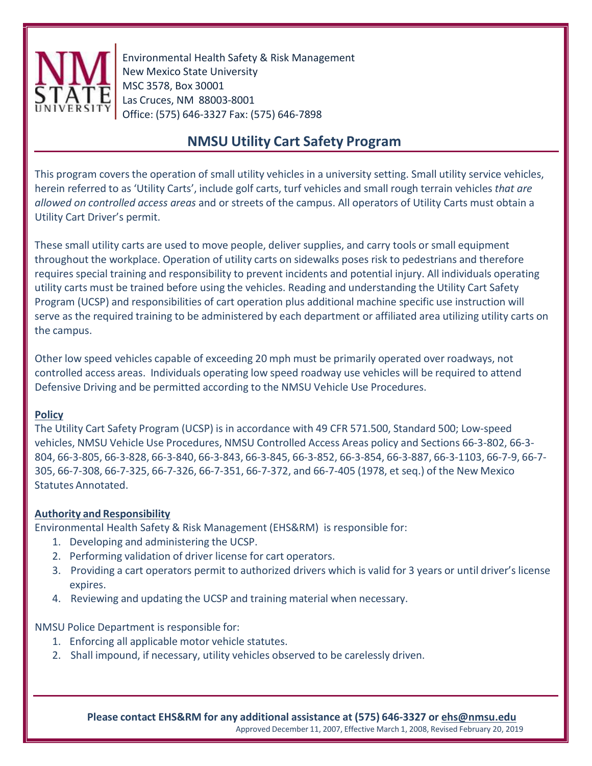

Environmental Health Safety & Risk Management New Mexico State University MSC 3578, Box 30001 Las Cruces, NM 88003-8001 Office: (575) 646-3327 Fax: (575) 646-7898

# **NMSU Utility Cart Safety Program**

This program covers the operation of small utility vehicles in a university setting. Small utility service vehicles, herein referred to as 'Utility Carts', include golf carts, turf vehicles and small rough terrain vehicles *that are allowed on controlled access areas* and or streets of the campus. All operators of Utility Carts must obtain a Utility Cart Driver's permit.

These small utility carts are used to move people, deliver supplies, and carry tools or small equipment throughout the workplace. Operation of utility carts on sidewalks poses risk to pedestrians and therefore requires special training and responsibility to prevent incidents and potential injury. All individuals operating utility carts must be trained before using the vehicles. Reading and understanding the Utility Cart Safety Program (UCSP) and responsibilities of cart operation plus additional machine specific use instruction will serve as the required training to be administered by each department or affiliated area utilizing utility carts on the campus.

Other low speed vehicles capable of exceeding 20 mph must be primarily operated over roadways, not controlled access areas. Individuals operating low speed roadway use vehicles will be required to attend Defensive Driving and be permitted according to the NMSU Vehicle Use Procedures.

#### **Policy**

The Utility Cart Safety Program (UCSP) is in accordance with 49 CFR 571.500, Standard 500; Low-speed vehicles, NMSU Vehicle Use Procedures, NMSU Controlled Access Areas policy and Sections 66-3-802, 66-3- 804, 66-3-805, 66-3-828, 66-3-840, 66-3-843, 66-3-845, 66-3-852, 66-3-854, 66-3-887, 66-3-1103, 66-7-9, 66-7- 305, 66-7-308, 66-7-325, 66-7-326, 66-7-351, 66-7-372, and 66-7-405 (1978, et seq.) of the New Mexico Statutes Annotated.

#### **Authority and Responsibility**

Environmental Health Safety & Risk Management (EHS&RM) is responsible for:

- 1. Developing and administering the UCSP.
- 2. Performing validation of driver license for cart operators.
- 3. Providing a cart operators permit to authorized drivers which is valid for 3 years or until driver's license expires.
- 4. Reviewing and updating the UCSP and training material when necessary.

NMSU Police Department is responsible for:

- 1. Enforcing all applicable motor vehicle statutes.
- 2. Shall impound, if necessary, utility vehicles observed to be carelessly driven.

**Please contact EHS&RM for any additional assistance at (575) 646-3327 or [ehs@nmsu.edu](mailto:ehs@nmsu.edu)** Approved December 11, 2007, Effective March 1, 2008, Revised February 20, 2019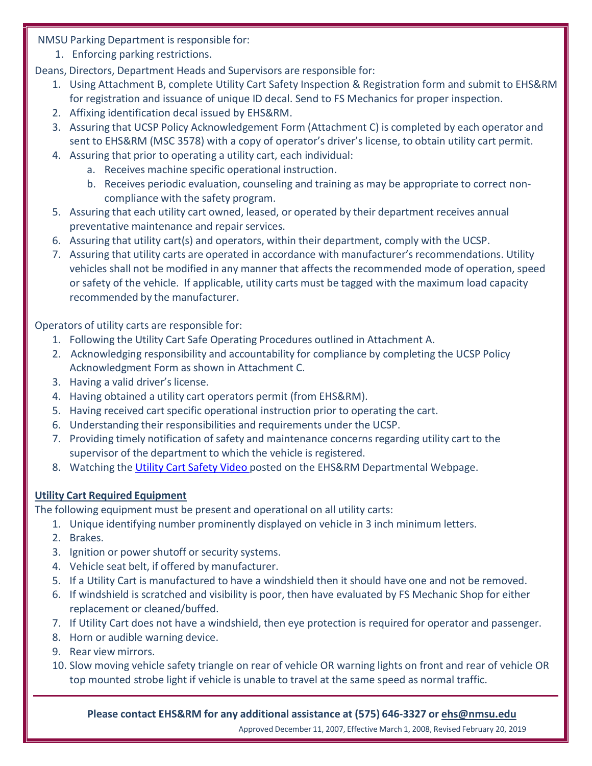NMSU Parking Department is responsible for:

1. Enforcing parking restrictions.

Deans, Directors, Department Heads and Supervisors are responsible for:

- 1. Using Attachment B, complete Utility Cart Safety Inspection & Registration form and submit to EHS&RM for registration and issuance of unique ID decal. Send to FS Mechanics for proper inspection.
- 2. Affixing identification decal issued by EHS&RM.
- 3. Assuring that UCSP Policy Acknowledgement Form (Attachment C) is completed by each operator and sent to EHS&RM (MSC 3578) with a copy of operator's driver's license, to obtain utility cart permit.
- 4. Assuring that prior to operating a utility cart, each individual:
	- a. Receives machine specific operational instruction.
	- b. Receives periodic evaluation, counseling and training as may be appropriate to correct noncompliance with the safety program.
- 5. Assuring that each utility cart owned, leased, or operated by their department receives annual preventative maintenance and repair services.
- 6. Assuring that utility cart(s) and operators, within their department, comply with the UCSP.
- 7. Assuring that utility carts are operated in accordance with manufacturer's recommendations. Utility vehicles shall not be modified in any manner that affects the recommended mode of operation, speed or safety of the vehicle. If applicable, utility carts must be tagged with the maximum load capacity recommended by the manufacturer.

Operators of utility carts are responsible for:

- 1. Following the Utility Cart Safe Operating Procedures outlined in Attachment A.
- 2. Acknowledging responsibility and accountability for compliance by completing the UCSP Policy Acknowledgment Form as shown in Attachment C.
- 3. Having a valid driver's license.
- 4. Having obtained a utility cart operators permit (from EHS&RM).
- 5. Having received cart specific operational instruction prior to operating the cart.
- 6. Understanding their responsibilities and requirements under the UCSP.
- 7. Providing timely notification of safety and maintenance concerns regarding utility cart to the supervisor of the department to which the vehicle is registered.
- 8. Watching the Utility Cart [Safety](http://safety.nmsu.edu/campus-safety/vehicle-and-cart-drivers/utility-carts/) Video posted on the EHS&RM Departmental Webpage.

### **Utility Cart Required Equipment**

The following equipment must be present and operational on all utility carts:

- 1. Unique identifying number prominently displayed on vehicle in 3 inch minimum letters.
- 2. Brakes.
- 3. Ignition or power shutoff or security systems.
- 4. Vehicle seat belt, if offered by manufacturer.
- 5. If a Utility Cart is manufactured to have a windshield then it should have one and not be removed.
- 6. If windshield is scratched and visibility is poor, then have evaluated by FS Mechanic Shop for either replacement or cleaned/buffed.
- 7. If Utility Cart does not have a windshield, then eye protection is required for operator and passenger.
- 8. Horn or audible warning device.
- 9. Rear view mirrors.
- 10. Slow moving vehicle safety triangle on rear of vehicle OR warning lights on front and rear of vehicle OR top mounted strobe light if vehicle is unable to travel at the same speed as normal traffic.

**Please contact EHS&RM for any additional assistance at (575) 646-3327 or [ehs@nmsu.edu](mailto:ehs@nmsu.edu)** 

Approved December 11, 2007, Effective March 1, 2008, Revised February 20, 2019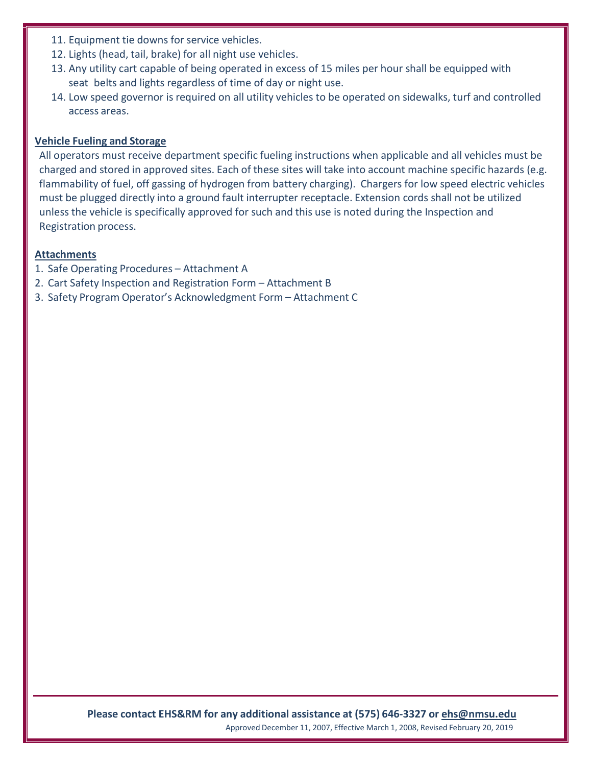- 11. Equipment tie downs for service vehicles.
- 12. Lights (head, tail, brake) for all night use vehicles.
- 13. Any utility cart capable of being operated in excess of 15 miles per hour shall be equipped with seat belts and lights regardless of time of day or night use.
- 14. Low speed governor is required on all utility vehicles to be operated on sidewalks, turf and controlled access areas.

#### **Vehicle Fueling and Storage**

All operators must receive department specific fueling instructions when applicable and all vehicles must be charged and stored in approved sites. Each of these sites will take into account machine specific hazards (e.g. flammability of fuel, off gassing of hydrogen from battery charging). Chargers for low speed electric vehicles must be plugged directly into a ground fault interrupter receptacle. Extension cords shall not be utilized unless the vehicle is specifically approved for such and this use is noted during the Inspection and Registration process.

#### **Attachments**

- 1. Safe Operating Procedures Attachment A
- 2. Cart Safety Inspection and Registration Form Attachment B
- 3. Safety Program Operator's Acknowledgment Form Attachment C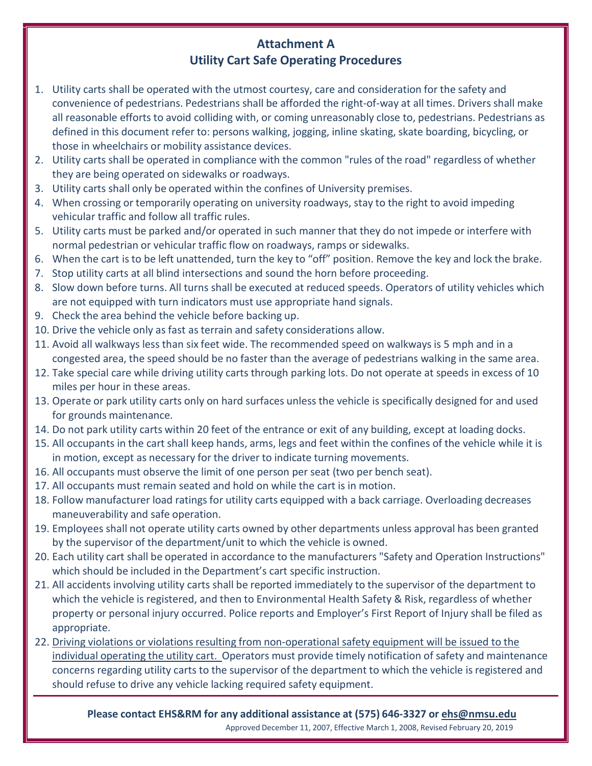### **Attachment A Utility Cart Safe Operating Procedures**

- 1. Utility carts shall be operated with the utmost courtesy, care and consideration for the safety and convenience of pedestrians. Pedestrians shall be afforded the right-of-way at all times. Drivers shall make all reasonable efforts to avoid colliding with, or coming unreasonably close to, pedestrians. Pedestrians as defined in this document refer to: persons walking, jogging, inline skating, skate boarding, bicycling, or those in wheelchairs or mobility assistance devices.
- 2. Utility carts shall be operated in compliance with the common "rules of the road" regardless of whether they are being operated on sidewalks or roadways.
- 3. Utility carts shall only be operated within the confines of University premises.
- 4. When crossing or temporarily operating on university roadways, stay to the right to avoid impeding vehicular traffic and follow all traffic rules.
- 5. Utility carts must be parked and/or operated in such manner that they do not impede or interfere with normal pedestrian or vehicular traffic flow on roadways, ramps or sidewalks.
- 6. When the cart is to be left unattended, turn the key to "off" position. Remove the key and lock the brake.
- 7. Stop utility carts at all blind intersections and sound the horn before proceeding.
- 8. Slow down before turns. All turns shall be executed at reduced speeds. Operators of utility vehicles which are not equipped with turn indicators must use appropriate hand signals.
- 9. Check the area behind the vehicle before backing up.
- 10. Drive the vehicle only as fast as terrain and safety considerations allow.
- 11. Avoid all walkways less than six feet wide. The recommended speed on walkways is 5 mph and in a congested area, the speed should be no faster than the average of pedestrians walking in the same area.
- 12. Take special care while driving utility carts through parking lots. Do not operate at speeds in excess of 10 miles per hour in these areas.
- 13. Operate or park utility carts only on hard surfaces unless the vehicle is specifically designed for and used for grounds maintenance.
- 14. Do not park utility carts within 20 feet of the entrance or exit of any building, except at loading docks.
- 15. All occupants in the cart shall keep hands, arms, legs and feet within the confines of the vehicle while it is in motion, except as necessary for the driver to indicate turning movements.
- 16. All occupants must observe the limit of one person per seat (two per bench seat).
- 17. All occupants must remain seated and hold on while the cart is in motion.
- 18. Follow manufacturer load ratings for utility carts equipped with a back carriage. Overloading decreases maneuverability and safe operation.
- 19. Employees shall not operate utility carts owned by other departments unless approval has been granted by the supervisor of the department/unit to which the vehicle is owned.
- 20. Each utility cart shall be operated in accordance to the manufacturers "Safety and Operation Instructions" which should be included in the Department's cart specific instruction.
- 21. All accidents involving utility carts shall be reported immediately to the supervisor of the department to which the vehicle is registered, and then to Environmental Health Safety & Risk, regardless of whether property or personal injury occurred. Police reports and Employer's First Report of Injury shall be filed as appropriate.
- 22. Driving violations or violations resulting from non-operational safety equipment will be issued to the individual operating the utility cart. Operators must provide timely notification of safety and maintenance concerns regarding utility carts to the supervisor of the department to which the vehicle is registered and should refuse to drive any vehicle lacking required safety equipment.

**Please contact EHS&RM for any additional assistance at (575) 646-3327 or [ehs@nmsu.edu](mailto:ehs@nmsu.edu)** Approved December 11, 2007, Effective March 1, 2008, Revised February 20, 2019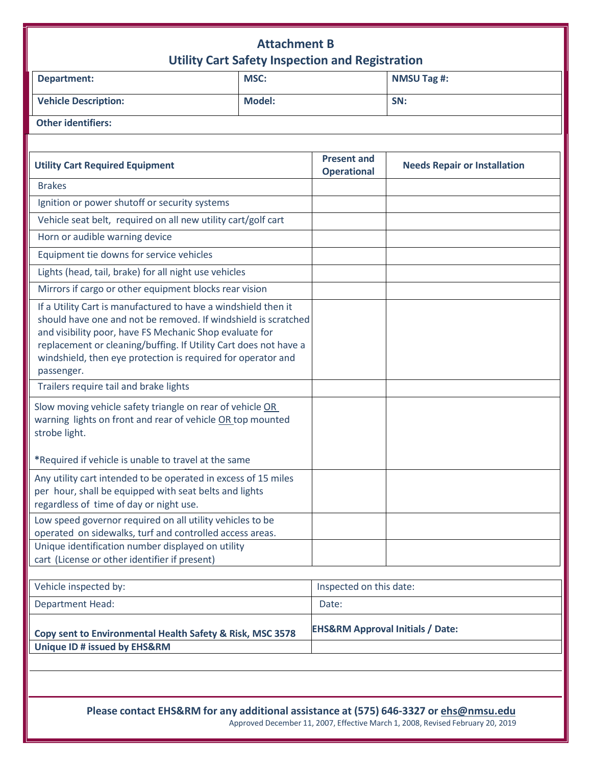## **Attachment B Utility Cart Safety Inspection and Registration**

| <b>Department:</b>                                                                                                                                                                                                                                                                                                                            | Utility Cart Safety Inspection and Registration<br><b>MSC:</b> |                                             | <b>NMSU Tag #:</b>                                                             |
|-----------------------------------------------------------------------------------------------------------------------------------------------------------------------------------------------------------------------------------------------------------------------------------------------------------------------------------------------|----------------------------------------------------------------|---------------------------------------------|--------------------------------------------------------------------------------|
| <b>Vehicle Description:</b>                                                                                                                                                                                                                                                                                                                   | <b>Model:</b>                                                  |                                             | SN:                                                                            |
| <b>Other identifiers:</b>                                                                                                                                                                                                                                                                                                                     |                                                                |                                             |                                                                                |
|                                                                                                                                                                                                                                                                                                                                               |                                                                |                                             |                                                                                |
| <b>Utility Cart Required Equipment</b>                                                                                                                                                                                                                                                                                                        |                                                                | <b>Present and</b><br><b>Operational</b>    | <b>Needs Repair or Installation</b>                                            |
| <b>Brakes</b>                                                                                                                                                                                                                                                                                                                                 |                                                                |                                             |                                                                                |
| Ignition or power shutoff or security systems                                                                                                                                                                                                                                                                                                 |                                                                |                                             |                                                                                |
| Vehicle seat belt, required on all new utility cart/golf cart                                                                                                                                                                                                                                                                                 |                                                                |                                             |                                                                                |
| Horn or audible warning device                                                                                                                                                                                                                                                                                                                |                                                                |                                             |                                                                                |
| Equipment tie downs for service vehicles                                                                                                                                                                                                                                                                                                      |                                                                |                                             |                                                                                |
| Lights (head, tail, brake) for all night use vehicles                                                                                                                                                                                                                                                                                         |                                                                |                                             |                                                                                |
| Mirrors if cargo or other equipment blocks rear vision                                                                                                                                                                                                                                                                                        |                                                                |                                             |                                                                                |
| If a Utility Cart is manufactured to have a windshield then it<br>should have one and not be removed. If windshield is scratched<br>and visibility poor, have FS Mechanic Shop evaluate for<br>replacement or cleaning/buffing. If Utility Cart does not have a<br>windshield, then eye protection is required for operator and<br>passenger. |                                                                |                                             |                                                                                |
| Trailers require tail and brake lights                                                                                                                                                                                                                                                                                                        |                                                                |                                             |                                                                                |
| Slow moving vehicle safety triangle on rear of vehicle OR<br>warning lights on front and rear of vehicle OR top mounted<br>strobe light.                                                                                                                                                                                                      |                                                                |                                             |                                                                                |
| *Required if vehicle is unable to travel at the same                                                                                                                                                                                                                                                                                          |                                                                |                                             |                                                                                |
| Any utility cart intended to be operated in excess of 15 miles<br>per hour, shall be equipped with seat belts and lights<br>regardless of time of day or night use.                                                                                                                                                                           |                                                                |                                             |                                                                                |
| Low speed governor required on all utility vehicles to be<br>operated on sidewalks, turf and controlled access areas.                                                                                                                                                                                                                         |                                                                |                                             |                                                                                |
| Unique identification number displayed on utility<br>cart (License or other identifier if present)                                                                                                                                                                                                                                            |                                                                |                                             |                                                                                |
| Vehicle inspected by:                                                                                                                                                                                                                                                                                                                         |                                                                | Inspected on this date:                     |                                                                                |
| <b>Department Head:</b>                                                                                                                                                                                                                                                                                                                       |                                                                | Date:                                       |                                                                                |
| Copy sent to Environmental Health Safety & Risk, MSC 3578                                                                                                                                                                                                                                                                                     |                                                                | <b>EHS&amp;RM Approval Initials / Date:</b> |                                                                                |
| <b>Unique ID # issued by EHS&amp;RM</b>                                                                                                                                                                                                                                                                                                       |                                                                |                                             |                                                                                |
|                                                                                                                                                                                                                                                                                                                                               |                                                                |                                             |                                                                                |
| Please contact EHS&RM for any additional assistance at (575) 646-3327 or ehs@nmsu.edu                                                                                                                                                                                                                                                         |                                                                |                                             | Approved December 11, 2007. Effective March 1, 2008. Revised February 20, 2019 |

Approved December 11, 2007, Effective March 1, 2008, Revised February 20,